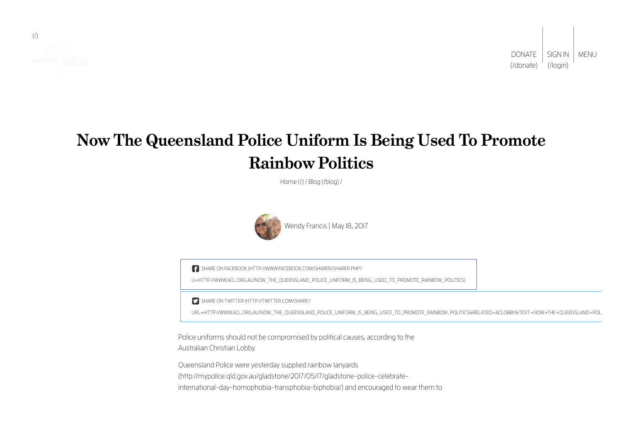

[SIGN IN](http://www.acl.org.au/login) | MENU (/login) DONATE [\(/donate\)](http://www.acl.org.au/donate)

# **Now The Queensland Police Uniform Is Being Used To Promote Rainbow Politics**

[Home \(/\)](http://www.acl.org.au/) / [Blog \(/blog\)](http://www.acl.org.au/blog) /



Wendy Francis | May 18, 2017

SHARE ON FACEBOOK (HTTP://WWW.FACEBOOK.COM/SHARER/SHARER.PHP?

[U=HTTP://WWW.ACL.ORG.AU/NOW\\_THE\\_QUEENSLAND\\_POLICE\\_UNIFORM\\_IS\\_BEING\\_USED\\_TO\\_PROMOTE\\_RAINBOW\\_POLITICS\)](http://www.facebook.com/sharer/sharer.php?u=http://www.acl.org.au/now_the_queensland_police_uniform_is_being_used_to_promote_rainbow_politics)

SHARE ON TWITTER (HTTP://TWITTER.COM/SHARE?

URL=HTTP://WWW.ACL.ORG.AU/NOW\_THE\_OUEENSLAND\_POLICE\_UNIFORM\_IS\_BEING\_USED\_TO\_PROMOTE\_RAINBOW\_POLITICS&RELATED=ACLOBBY&TEXT=NOW+THE+OUEENSLAND+POL

Police uniforms should not be compromised by political causes, according to the Australian Christian Lobby.

Queensland Police were yesterday supplied rainbow lanyards [\(http://mypolice.qld.gov.au/gladstone/2017/05/17/gladstone-police-celebrate](http://mypolice.qld.gov.au/gladstone/2017/05/17/gladstone-police-celebrate-international-day-homophobia-transphobia-biphobia/)international-day-homophobia-transphobia-biphobia/) and encouraged to wear them to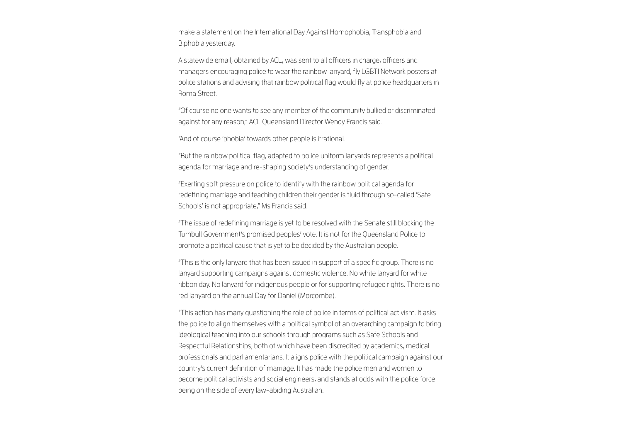make a statement on the International Day Against Homophobia, Transphobia and Biphobia yesterday.

A statewide email, obtained by ACL, was sent to all officers in charge, officers and managers encouraging police to wear the rainbow lanyard, fly LGBTI Network posters at police stations and advising that rainbow political flag would fly at police headquarters in Roma Street.

"Of course no one wants to see any member of the community bullied or discriminated against for any reason," ACL Queensland Director Wendy Francis said.

"And of course 'phobia' towards other people is irrational.

"But the rainbow political flag, adapted to police uniform lanyards represents a political agenda for marriage and re-shaping society's understanding of gender.

"Exerting soft pressure on police to identify with the rainbow political agenda for redefining marriage and teaching children their gender is fluid through so-called 'Safe Schools' is not appropriate," Ms Francis said.

"The issue of redefining marriage is yet to be resolved with the Senate still blocking the Turnbull Government's promised peoples' vote. It is not for the Queensland Police to promote a political cause that is yet to be decided by the Australian people.

"This is the only lanyard that has been issued in support of a specific group. There is no lanyard supporting campaigns against domestic violence. No white lanyard for white ribbon day. No lanyard for indigenous people or for supporting refugee rights. There is no red lanyard on the annual Day for Daniel (Morcombe).

"This action has many questioning the role of police in terms of political activism. It asks the police to align themselves with a political symbol of an overarching campaign to bring ideological teaching into our schools through programs such as Safe Schools and Respectful Relationships, both of which have been discredited by academics, medical professionals and parliamentarians. It aligns police with the political campaign against our country's current definition of marriage. It has made the police men and women to become political activists and social engineers, and stands at odds with the police force being on the side of every law-abiding Australian.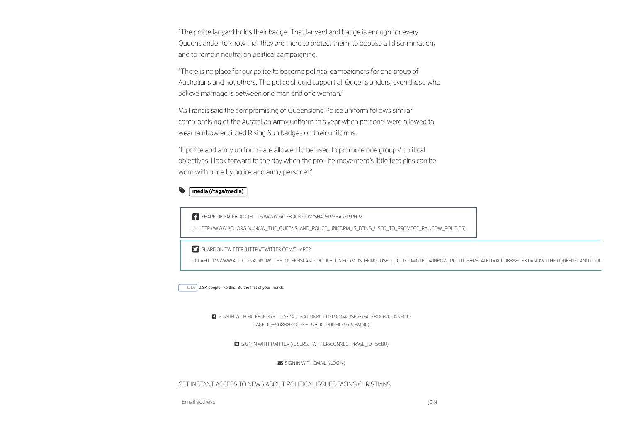"The police lanyard holds their badge. That lanyard and badge is enough for every Queenslander to know that they are there to protect them, to oppose all discrimination, and to remain neutral on political campaigning.

"There is no place for our police to become political campaigners for one group of Australians and not others. The police should support all Queenslanders, even those who believe marriage is between one man and one woman."

Ms Francis said the compromising of Queensland Police uniform follows similar compromising of the Australian Army uniform this year when personel were allowed to wear rainbow encircled Rising Sun badges on their uniforms.

"If police and army uniforms are allowed to be used to promote one groups' political objectives, I look forward to the day when the pro-life movement's little feet pins can be worn with pride by police and army personel."

#### [media \(/tags/media\)](http://www.acl.org.au/tags/media) ◥┌

SHARE ON FACEBOOK (HTTP://WWW.FACEBOOK.COM/SHARER/SHARER.PHP?

[U=HTTP://WWW.ACL.ORG.AU/NOW\\_THE\\_QUEENSLAND\\_POLICE\\_UNIFORM\\_IS\\_BEING\\_USED\\_TO\\_PROMOTE\\_RAINBOW\\_POLITICS\)](http://www.facebook.com/sharer/sharer.php?u=http://www.acl.org.au/now_the_queensland_police_uniform_is_being_used_to_promote_rainbow_politics)

SHARE ON TWITTER (HTTP://TWITTER.COM/SHARE?

[URL=HTTP://WWW.ACL.ORG.AU/NOW\\_THE\\_QUEENSLAND\\_POLICE\\_UNIFORM\\_IS\\_BEING\\_USED\\_TO\\_PROMOTE\\_RAINBOW\\_POLITICS&RELATED=ACLOBBY&TEXT=NOW+THE+QUEENSLAND+POL](http://twitter.com/share?url=http://www.acl.org.au/now_the_queensland_police_uniform_is_being_used_to_promote_rainbow_politics&related=ACLobby&text=Now+the+Queensland+Police+uniform+is+being+used+to+promote+rainbow+politics)



 [SIGN IN WITH FACEBOOK \(HTTPS://ACL.NATIONBUILDER.COM/USERS/FACEBOOK/CONNECT?](https://acl.nationbuilder.com/users/facebook/connect?page_id=5688&scope=public_profile%2Cemail) PAGE\_ID=5688&SCOPE=PUBLIC\_PROFILE%2CEMAIL)

SIGN IN WITH TWITTER (/USERS/TWITTER/CONNECT?PAGE\_ID=5688)

 $\blacktriangleright$  [SIGN IN WITH EMAIL \(/LOGIN\)](http://www.acl.org.au/login)

GET INSTANT ACCESS TO NEWS ABOUT POLITICAL ISSUES FACING CHRISTIANS

Email address JOIN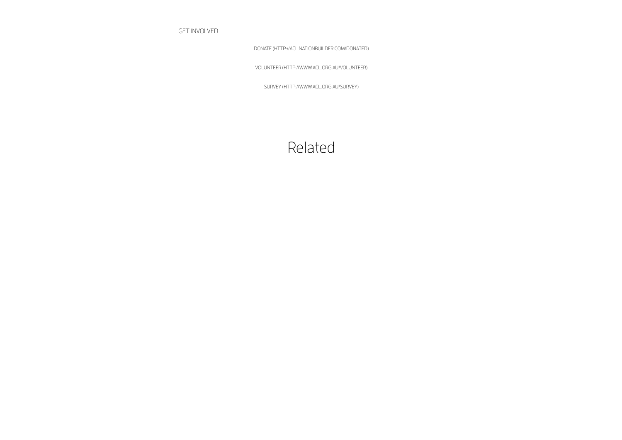GET INVOLVED

[DONATE \(HTTP://ACL.NATIONBUILDER.COM/DONATED\)](http://acl.nationbuilder.com/donated)

[VOLUNTEER \(HTTP://WWW.ACL.ORG.AU/VOLUNTEER\)](http://www.acl.org.au/volunteer)

[SURVEY \(HTTP://WWW.ACL.ORG.AU/SURVEY\)](http://www.acl.org.au/survey)

## Related